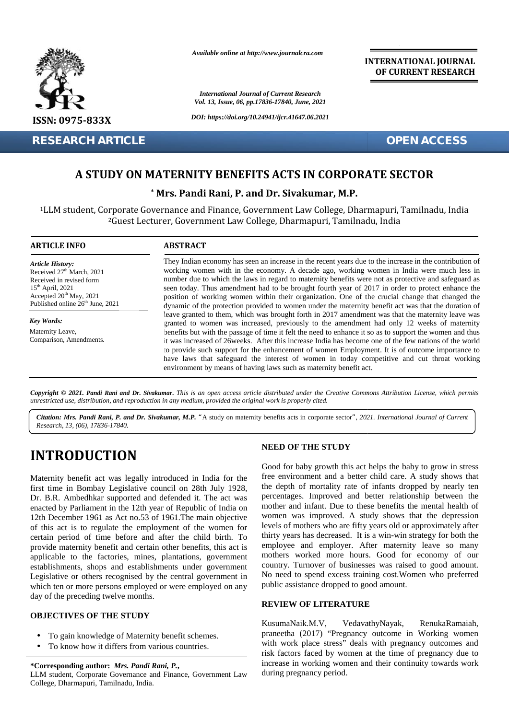

*Available online at http://www.journalcra.com*

*International Journal of Current Research Vol. 13, Issue, 06, pp.17836-17840, June, 2021* **INTERNATIONAL JOURNAL OF CURRENT RESEARCH**

# **A STUDY ON MATERNITY BENEFITS ACTS IN CORPORATE SECTOR**

|                                                                                                                                                                                                                                                                                                                                                                                                                                                                                                                                                                                                                                                                                                                                                                                                                                                       |                                                                                                                                                                                                                                                                                                                                                                                                                                                                                                                                                                                                                                                                                                                                                                                                                                                                                                                                                                                                                                                                                                                                                                                                                                                                                                                            | <b>International Journal of Current Research</b><br>Vol. 13, Issue, 06, pp.17836-17840, June, 2021                                                                                                                                                                                                                                                                                                                                                                                                                                                                                                                                                                                                                                                                                                                    |
|-------------------------------------------------------------------------------------------------------------------------------------------------------------------------------------------------------------------------------------------------------------------------------------------------------------------------------------------------------------------------------------------------------------------------------------------------------------------------------------------------------------------------------------------------------------------------------------------------------------------------------------------------------------------------------------------------------------------------------------------------------------------------------------------------------------------------------------------------------|----------------------------------------------------------------------------------------------------------------------------------------------------------------------------------------------------------------------------------------------------------------------------------------------------------------------------------------------------------------------------------------------------------------------------------------------------------------------------------------------------------------------------------------------------------------------------------------------------------------------------------------------------------------------------------------------------------------------------------------------------------------------------------------------------------------------------------------------------------------------------------------------------------------------------------------------------------------------------------------------------------------------------------------------------------------------------------------------------------------------------------------------------------------------------------------------------------------------------------------------------------------------------------------------------------------------------|-----------------------------------------------------------------------------------------------------------------------------------------------------------------------------------------------------------------------------------------------------------------------------------------------------------------------------------------------------------------------------------------------------------------------------------------------------------------------------------------------------------------------------------------------------------------------------------------------------------------------------------------------------------------------------------------------------------------------------------------------------------------------------------------------------------------------|
| <b>ISSN: 0975-833X</b>                                                                                                                                                                                                                                                                                                                                                                                                                                                                                                                                                                                                                                                                                                                                                                                                                                | DOI: https://doi.org/10.24941/ijcr.41647.06.2021                                                                                                                                                                                                                                                                                                                                                                                                                                                                                                                                                                                                                                                                                                                                                                                                                                                                                                                                                                                                                                                                                                                                                                                                                                                                           |                                                                                                                                                                                                                                                                                                                                                                                                                                                                                                                                                                                                                                                                                                                                                                                                                       |
| <b>RESEARCH ARTICLE</b>                                                                                                                                                                                                                                                                                                                                                                                                                                                                                                                                                                                                                                                                                                                                                                                                                               |                                                                                                                                                                                                                                                                                                                                                                                                                                                                                                                                                                                                                                                                                                                                                                                                                                                                                                                                                                                                                                                                                                                                                                                                                                                                                                                            | <b>OPEN ACCESS</b>                                                                                                                                                                                                                                                                                                                                                                                                                                                                                                                                                                                                                                                                                                                                                                                                    |
|                                                                                                                                                                                                                                                                                                                                                                                                                                                                                                                                                                                                                                                                                                                                                                                                                                                       |                                                                                                                                                                                                                                                                                                                                                                                                                                                                                                                                                                                                                                                                                                                                                                                                                                                                                                                                                                                                                                                                                                                                                                                                                                                                                                                            |                                                                                                                                                                                                                                                                                                                                                                                                                                                                                                                                                                                                                                                                                                                                                                                                                       |
|                                                                                                                                                                                                                                                                                                                                                                                                                                                                                                                                                                                                                                                                                                                                                                                                                                                       |                                                                                                                                                                                                                                                                                                                                                                                                                                                                                                                                                                                                                                                                                                                                                                                                                                                                                                                                                                                                                                                                                                                                                                                                                                                                                                                            | A STUDY ON MATERNITY BENEFITS ACTS IN CORPORATE SECTOR                                                                                                                                                                                                                                                                                                                                                                                                                                                                                                                                                                                                                                                                                                                                                                |
|                                                                                                                                                                                                                                                                                                                                                                                                                                                                                                                                                                                                                                                                                                                                                                                                                                                       |                                                                                                                                                                                                                                                                                                                                                                                                                                                                                                                                                                                                                                                                                                                                                                                                                                                                                                                                                                                                                                                                                                                                                                                                                                                                                                                            | * Mrs. Pandi Rani, P. and Dr. Sivakumar, M.P.                                                                                                                                                                                                                                                                                                                                                                                                                                                                                                                                                                                                                                                                                                                                                                         |
|                                                                                                                                                                                                                                                                                                                                                                                                                                                                                                                                                                                                                                                                                                                                                                                                                                                       |                                                                                                                                                                                                                                                                                                                                                                                                                                                                                                                                                                                                                                                                                                                                                                                                                                                                                                                                                                                                                                                                                                                                                                                                                                                                                                                            | <sup>1</sup> LLM student, Corporate Governance and Finance, Government Law College, Dharmapuri, Tamilnadu, India<br><sup>2</sup> Guest Lecturer, Government Law College, Dharmapuri, Tamilnadu, India                                                                                                                                                                                                                                                                                                                                                                                                                                                                                                                                                                                                                 |
| <b>ARTICLE INFO</b>                                                                                                                                                                                                                                                                                                                                                                                                                                                                                                                                                                                                                                                                                                                                                                                                                                   | <b>ABSTRACT</b>                                                                                                                                                                                                                                                                                                                                                                                                                                                                                                                                                                                                                                                                                                                                                                                                                                                                                                                                                                                                                                                                                                                                                                                                                                                                                                            |                                                                                                                                                                                                                                                                                                                                                                                                                                                                                                                                                                                                                                                                                                                                                                                                                       |
| <b>Article History:</b><br>Received 27 <sup>th</sup> March, 2021<br>Received in revised form<br>15 <sup>th</sup> April, 2021<br>Accepted 20 <sup>th</sup> May, 2021<br>Published online 26 <sup>th</sup> June, 2021                                                                                                                                                                                                                                                                                                                                                                                                                                                                                                                                                                                                                                   | They Indian economy has seen an increase in the recent years due to the increase in the contribution of<br>working women with in the economy. A decade ago, working women in India were much less in<br>number due to which the laws in regard to maternity benefits were not as protective and safeguard as<br>seen today. Thus amendment had to be brought fourth year of 2017 in order to protect enhance the<br>position of working women within their organization. One of the crucial change that changed the<br>dynamic of the protection provided to women under the maternity benefit act was that the duration of<br>leave granted to them, which was brought forth in 2017 amendment was that the maternity leave was<br>granted to women was increased, previously to the amendment had only 12 weeks of maternity<br>benefits but with the passage of time it felt the need to enhance it so as to support the women and thus<br>it was increased of 26weeks. After this increase India has become one of the few nations of the world<br>to provide such support for the enhancement of women Employment. It is of outcome importance to<br>have laws that safeguard the interest of women in today competitive and cut throat working<br>environment by means of having laws such as maternity benefit act. |                                                                                                                                                                                                                                                                                                                                                                                                                                                                                                                                                                                                                                                                                                                                                                                                                       |
| <b>Key Words:</b><br>Maternity Leave,<br>Comparison, Amendments.                                                                                                                                                                                                                                                                                                                                                                                                                                                                                                                                                                                                                                                                                                                                                                                      |                                                                                                                                                                                                                                                                                                                                                                                                                                                                                                                                                                                                                                                                                                                                                                                                                                                                                                                                                                                                                                                                                                                                                                                                                                                                                                                            |                                                                                                                                                                                                                                                                                                                                                                                                                                                                                                                                                                                                                                                                                                                                                                                                                       |
| unrestricted use, distribution, and reproduction in any medium, provided the original work is properly cited.<br>Research, 13, (06), 17836-17840.                                                                                                                                                                                                                                                                                                                                                                                                                                                                                                                                                                                                                                                                                                     |                                                                                                                                                                                                                                                                                                                                                                                                                                                                                                                                                                                                                                                                                                                                                                                                                                                                                                                                                                                                                                                                                                                                                                                                                                                                                                                            | Copyright © 2021. Pandi Rani and Dr. Sivakumar. This is an open access article distributed under the Creative Commons Attribution License, which permits<br>Citation: Mrs. Pandi Rani, P. and Dr. Sivakumar, M.P. "A study on maternity benefits acts in corporate sector", 2021. International Journal of Current                                                                                                                                                                                                                                                                                                                                                                                                                                                                                                    |
| <b>INTRODUCTION</b><br>Maternity benefit act was legally introduced in India for the<br>first time in Bombay Legislative council on 28th July 1928,<br>Dr. B.R. Ambedhkar supported and defended it. The act was<br>enacted by Parliament in the 12th year of Republic of India on<br>12th December 1961 as Act no.53 of 1961. The main objective<br>of this act is to regulate the employment of the women for<br>certain period of time before and after the child birth. To<br>provide maternity benefit and certain other benefits, this act is<br>applicable to the factories, mines, plantations, government<br>establishments, shops and establishments under government<br>Legislative or others recognised by the central government in<br>which ten or more persons employed or were employed on any<br>day of the preceding twelve months. |                                                                                                                                                                                                                                                                                                                                                                                                                                                                                                                                                                                                                                                                                                                                                                                                                                                                                                                                                                                                                                                                                                                                                                                                                                                                                                                            | <b>NEED OF THE STUDY</b>                                                                                                                                                                                                                                                                                                                                                                                                                                                                                                                                                                                                                                                                                                                                                                                              |
|                                                                                                                                                                                                                                                                                                                                                                                                                                                                                                                                                                                                                                                                                                                                                                                                                                                       |                                                                                                                                                                                                                                                                                                                                                                                                                                                                                                                                                                                                                                                                                                                                                                                                                                                                                                                                                                                                                                                                                                                                                                                                                                                                                                                            | Good for baby growth this act helps the baby to grow in stress<br>free environment and a better child care. A study shows that<br>the depth of mortality rate of infants dropped by nearly ten<br>percentages. Improved and better relationship between the<br>mother and infant. Due to these benefits the mental health of<br>women was improved. A study shows that the depression<br>levels of mothers who are fifty years old or approximately after<br>thirty years has decreased. It is a win-win strategy for both the<br>employee and employer. After maternity leave so many<br>mothers worked more hours. Good for economy of our<br>country. Turnover of businesses was raised to good amount.<br>No need to spend excess training cost. Women who preferred<br>public assistance dropped to good amount. |
|                                                                                                                                                                                                                                                                                                                                                                                                                                                                                                                                                                                                                                                                                                                                                                                                                                                       |                                                                                                                                                                                                                                                                                                                                                                                                                                                                                                                                                                                                                                                                                                                                                                                                                                                                                                                                                                                                                                                                                                                                                                                                                                                                                                                            | <b>REVIEW OF LITERATURE</b>                                                                                                                                                                                                                                                                                                                                                                                                                                                                                                                                                                                                                                                                                                                                                                                           |
| <b>OBJECTIVES OF THE STUDY</b><br>To gain knowledge of Maternity benefit schemes.<br>To know how it differs from various countries.                                                                                                                                                                                                                                                                                                                                                                                                                                                                                                                                                                                                                                                                                                                   |                                                                                                                                                                                                                                                                                                                                                                                                                                                                                                                                                                                                                                                                                                                                                                                                                                                                                                                                                                                                                                                                                                                                                                                                                                                                                                                            | RenukaRamaiah,<br>KusumaNaik.M.V,<br>VedavathyNayak,<br>praneetha (2017) "Pregnancy outcome in Working women<br>with work place stress" deals with pregnancy outcomes and<br>risk factors faced by women at the time of pregnancy due to                                                                                                                                                                                                                                                                                                                                                                                                                                                                                                                                                                              |
| *Corresponding author: Mrs. Pandi Rani, P.,<br>LLM student, Corporate Governance and Finance, Government Law<br>College, Dharmapuri, Tamilnadu, India.                                                                                                                                                                                                                                                                                                                                                                                                                                                                                                                                                                                                                                                                                                |                                                                                                                                                                                                                                                                                                                                                                                                                                                                                                                                                                                                                                                                                                                                                                                                                                                                                                                                                                                                                                                                                                                                                                                                                                                                                                                            | increase in working women and their continuity towards work<br>during pregnancy period.                                                                                                                                                                                                                                                                                                                                                                                                                                                                                                                                                                                                                                                                                                                               |

# **INTRODUCTION INTRODUCTION**

### **OBJECTIVES OF THE STUDY OBJECTIVES**

- To gain knowledge of Maternity benefit schemes. To gain
- To know how it differs from various countries. To know from various countries.

# **\*Corresponding author:** *Mrs. Pandi Rani, P.***, \*Corresponding** *Pandi Rani,*

## **NEED OF THE STUDY**

#### **REVIEW OF LITERATURE**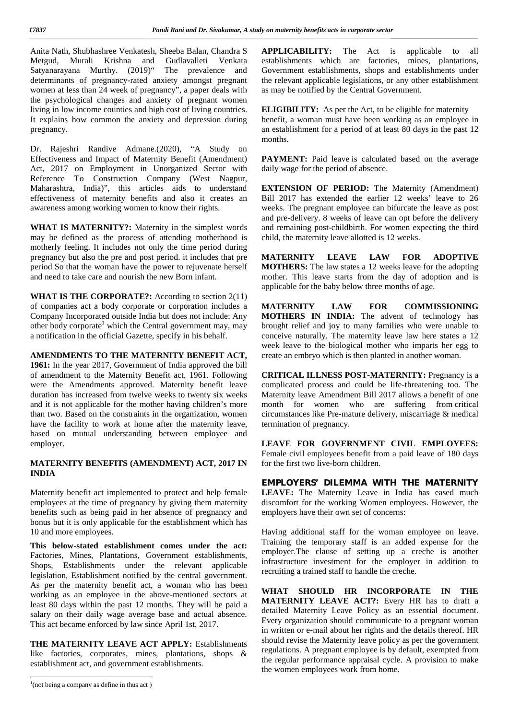Anita Nath, Shubhashree Venkatesh, Sheeba Balan, Chandra S Metgud, Murali Krishna and Gudlavalleti Venkata Satyanarayana Murthy. (2019)" The prevalence and determinants of pregnancy-rated anxiety amongst pregnant women at less than 24 week of pregnancy", a paper deals with the psychological changes and anxiety of pregnant women living in low income counties and high cost of living countries. It explains how common the anxiety and depression during pregnancy.

Dr. Rajeshri Randive Admane.(2020), "A Study on Effectiveness and Impact of Maternity Benefit (Amendment) Act, 2017 on Employment in Unorganized Sector with Reference To Construction Company (West Nagpur, Maharashtra, India)", this articles aids to understand effectiveness of maternity benefits and also it creates an awareness among working women to know their rights.

**WHAT IS MATERNITY?:** Maternity in the simplest words may be defined as the process of attending motherhood is motherly feeling. It includes not only the time period during pregnancy but also the pre and post period. it includes that pre period So that the woman have the power to rejuvenate herself and need to take care and nourish the new Born infant.

**WHAT IS THE CORPORATE?:** According to section 2(11) of companies act a body corporate or corporation includes a Company Incorporated outside India but does not include: Any other body corporate<sup>1</sup> which the Central government may, may a notification in the official Gazette, specify in his behalf.

**AMENDMENTS TO THE MATERNITY BENEFIT ACT, 1961:** In the year 2017, Government of India approved the bill of amendment to the Maternity Benefit act, 1961. Following were the Amendments approved. Maternity benefit leave duration has increased from twelve weeks to twenty six weeks and it is not applicable for the mother having children's more than two. Based on the constraints in the organization, women have the facility to work at home after the maternity leave, based on mutual understanding between employee and employer.

#### **MATERNITY BENEFITS (AMENDMENT) ACT, 2017 IN INDIA**

Maternity benefit act implemented to protect and help female employees at the time of pregnancy by giving them maternity benefits such as being paid in her absence of pregnancy and bonus but it is only applicable for the establishment which has 10 and more employees.

**This below-stated establishment comes under the act:** Factories, Mines, Plantations, Government establishments, Shops, Establishments under the relevant applicable legislation, Establishment notified by the central government. As per the maternity benefit act, a woman who has been working as an employee in the above-mentioned sectors at least 80 days within the past 12 months. They will be paid a salary on their daily wage average base and actual absence. This act became enforced by law since April 1st, 2017.

**THE MATERNITY LEAVE ACT APPLY:** Establishments like factories, corporates, mines, plantations, shops & establishment act, and government establishments.

 $1$ (not being a company as define in thus act)

**APPLICABILITY:** The Act is applicable to all establishments which are factories, mines, plantations, Government establishments, shops and establishments under the relevant applicable legislations, or any other establishment as may be notified by the Central Government.

**ELIGIBILITY:** As per the Act, to be eligible for maternity benefit, a woman must have been working as an employee in an establishment for a period of at least 80 days in the past 12 months.

PAYMENT: Paid leave is calculated based on the average daily wage for the period of absence.

**EXTENSION OF PERIOD:** The Maternity (Amendment) Bill 2017 has extended the earlier 12 weeks' leave to 26 weeks. The pregnant employee can bifurcate the leave as post and pre-delivery. 8 weeks of leave can opt before the delivery and remaining post-childbirth. For women expecting the third child, the maternity leave allotted is 12 weeks.

**LEAVE LAW FOR ADOPTIVE MOTHERS:** The law states a 12 weeks leave for the adopting mother. This leave starts from the day of adoption and is applicable for the baby below three months of age.

LAW FOR COMMISSIONING **MOTHERS IN INDIA:** The advent of technology has brought relief and joy to many families who were unable to conceive naturally. The maternity leave law here states a 12 week leave to the biological mother who imparts her egg to create an embryo which is then planted in another woman.

**CRITICAL ILLNESS POST-MATERNITY:** Pregnancy is a complicated process and could be life-threatening too. The Maternity leave Amendment Bill 2017 allows a benefit of one month for women who are suffering from critical circumstances like Pre-mature delivery, miscarriage & medical termination of pregnancy.

**LEAVE FOR GOVERNMENT CIVIL EMPLOYEES:** Female civil employees benefit from a paid leave of 180 days for the first two live-born children.

**EMPLOYERS' DILEMMA WITH THE MATERNITY LEAVE:** The Maternity Leave in India has eased much discomfort for the working Women employees. However, the employers have their own set of concerns:

Having additional staff for the woman employee on leave. Training the temporary staff is an added expense for the employer.The clause of setting up a creche is another infrastructure investment for the employer in addition to recruiting a trained staff to handle the creche.

**WHAT SHOULD HR INCORPORATE IN THE MATERNITY LEAVE ACT?:** Every HR has to draft a detailed Maternity Leave Policy as an essential document. Every organization should communicate to a pregnant woman in written or e-mail about her rights and the details thereof. HR should revise the Maternity leave policy as per the government regulations. A pregnant employee is by default, exempted from the regular performance appraisal cycle. A provision to make the women employees work from home.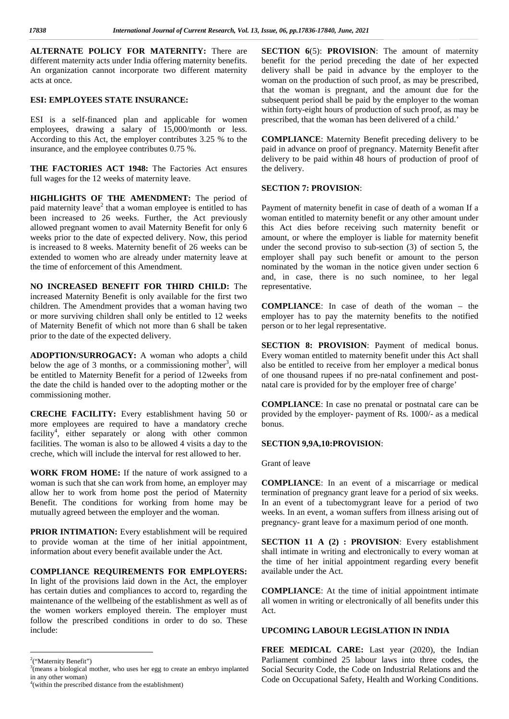**ALTERNATE POLICY FOR MATERNITY:** There are different maternity acts under India offering maternity benefits. An organization cannot incorporate two different maternity acts at once.

#### **ESI: EMPLOYEES STATE INSURANCE:**

ESI is a self-financed plan and applicable for women employees, drawing a salary of 15,000/month or less. According to this Act, the employer contributes 3.25 % to the insurance, and the employee contributes 0.75 %.

**THE FACTORIES ACT 1948:** The Factories Act ensures full wages for the 12 weeks of maternity leave.

**HIGHLIGHTS OF THE AMENDMENT:** The period of paid maternity leave<sup>2</sup> that a woman employee is entitled to has Pay been increased to 26 weeks. Further, the Act previously allowed pregnant women to avail Maternity Benefit for only 6 weeks prior to the date of expected delivery. Now, this period is increased to 8 weeks. Maternity benefit of 26 weeks can be extended to women who are already under maternity leave at the time of enforcement of this Amendment.

**NO INCREASED BENEFIT FOR THIRD CHILD:** The increased Maternity Benefit is only available for the first two children. The Amendment provides that a woman having two or more surviving children shall only be entitled to 12 weeks of Maternity Benefit of which not more than 6 shall be taken prior to the date of the expected delivery.

**ADOPTION/SURROGACY:** A woman who adopts a child below the age of 3 months, or a commissioning mother<sup>3</sup>, will a be entitled to Maternity Benefit for a period of 12weeks from the date the child is handed over to the adopting mother or the commissioning mother.

**CRECHE FACILITY:** Every establishment having 50 or more employees are required to have a mandatory creche facility<sup>4</sup> , either separately or along with other common facilities. The woman is also to be allowed 4 visits a day to the creche, which will include the interval for rest allowed to her.

**WORK FROM HOME:** If the nature of work assigned to a woman is such that she can work from home, an employer may allow her to work from home post the period of Maternity Benefit. The conditions for working from home may be mutually agreed between the employer and the woman.

**PRIOR INTIMATION:** Every establishment will be required to provide woman at the time of her initial appointment, information about every benefit available under the Act.

**COMPLIANCE REQUIREMENTS FOR EMPLOYERS:** In light of the provisions laid down in the Act, the employer has certain duties and compliances to accord to, regarding the maintenance of the wellbeing of the establishment as well as of the women workers employed therein. The employer must follow the prescribed conditions in order to do so. These include:

**SECTION 6(5): PROVISION:** The amount of maternity benefit for the period preceding the date of her expected delivery shall be paid in advance by the employer to the woman on the production of such proof, as may be prescribed, that the woman is pregnant, and the amount due for the subsequent period shall be paid by the employer to the woman within forty-eight hours of production of such proof, as may be prescribed, that the woman has been delivered of a child.'

**COMPLIANCE**: Maternity Benefit preceding delivery to be paid in advance on proof of pregnancy. Maternity Benefit after delivery to be paid within 48 hours of production of proof of the delivery.

#### **SECTION 7: PROVISION**:

Payment of maternity benefit in case of death of a woman If a woman entitled to maternity benefit or any other amount under this Act dies before receiving such maternity benefit or amount, or where the employer is liable for maternity benefit under the second proviso to sub-section (3) of section 5, the employer shall pay such benefit or amount to the person nominated by the woman in the notice given under section 6 and, in case, there is no such nominee, to her legal representative.

**COMPLIANCE**: In case of death of the woman – the employer has to pay the maternity benefits to the notified person or to her legal representative.

**SECTION 8: PROVISION**: Payment of medical bonus. Every woman entitled to maternity benefit under this Act shall also be entitled to receive from her employer a medical bonus of one thousand rupees if no pre-natal confinement and post natal care is provided for by the employer free of charge'

**COMPLIANCE**: In case no prenatal or postnatal care can be provided by the employer- payment of Rs. 1000/- as a medical bonus.

#### **SECTION 9,9A,10:PROVISION**:

Grant of leave

**COMPLIANCE**: In an event of a miscarriage or medical termination of pregnancy grant leave for a period of six weeks. In an event of a tubectomygrant leave for a period of two weeks. In an event, a woman suffers from illness arising out of pregnancy- grant leave for a maximum period of one month.

**SECTION 11 A (2) : PROVISION**: Every establishment shall intimate in writing and electronically to every woman at the time of her initial appointment regarding every benefit available under the Act.

**COMPLIANCE**: At the time of initial appointment intimate all women in writing or electronically of all benefits under this Act.

#### **UPCOMING LABOUR LEGISLATION IN INDIA**

**FREE MEDICAL CARE:** Last year (2020), the Indian Parliament combined 25 labour laws into three codes, the Social Security Code, the Code on Industrial Relations and the Code on Occupational Safety, Health and Working Conditions.

<sup>2</sup>("Maternity Benefit")

<sup>3</sup>(means a biological mother, who uses her egg to create an embryo implanted in any other woman)

<sup>4</sup>(within the prescribed distance from the establishment)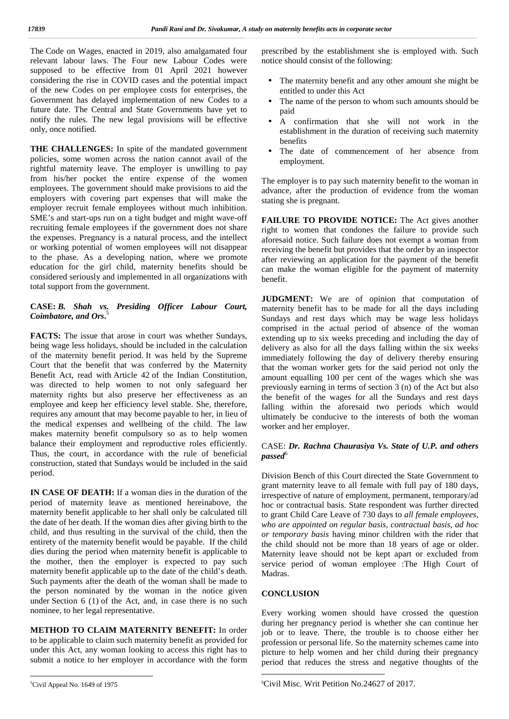The Code on Wages, enacted in 2019, also amalgamated four relevant labour laws. The Four new Labour Codes were supposed to be effective from 01 April 2021 however considering the rise in COVID cases and the potential impact of the new Codes on per employee costs for enterprises, the Government has delayed implementation of new Codes to a future date. The Central and State Governments have yet to notify the rules. The new legal provisions will be effective only, once notified.

**THE CHALLENGES:** In spite of the mandated government policies, some women across the nation cannot avail of the rightful maternity leave. The employer is unwilling to pay from his/her pocket the entire expense of the women employees. The government should make provisions to aid the employers with covering part expenses that will make the employer recruit female employees without much inhibition. SME's and start-ups run on a tight budget and might wave-off recruiting female employees if the government does not share the expenses. Pregnancy is a natural process, and the intellect or working potential of women employees will not disappear to the phase. As a developing nation, where we promote education for the girl child, maternity benefits should be considered seriously and implemented in all organizations with total support from the government.

### **CASE:** *B. Shah vs. Presiding Officer Labour Court, Coimbatore, and Ors***.**<sup>5</sup>

**FACTS:** The issue that arose in court was whether Sundays, being wage less holidays, should be included in the calculation of the maternity benefit period. It was held by the Supreme Court that the benefit that was conferred by the Maternity Benefit Act, read with Article 42 of the Indian Constitution, was directed to help women to not only safeguard her maternity rights but also preserve her effectiveness as an employee and keep her efficiency level stable. She, therefore, requires any amount that may become payable to her, in lieu of the medical expenses and wellbeing of the child. The law makes maternity benefit compulsory so as to help women balance their employment and reproductive roles efficiently. Thus, the court, in accordance with the rule of beneficial construction, stated that Sundays would be included in the said period.

**IN CASE OF DEATH:** If a woman dies in the duration of the period of maternity leave as mentioned hereinabove, the maternity benefit applicable to her shall only be calculated till the date of her death. If the woman dies after giving birth to the child, and thus resulting in the survival of the child, then the entirety of the maternity benefit would be payable. If the child dies during the period when maternity benefit is applicable to the mother, then the employer is expected to pay such maternity benefit applicable up to the date of the child's death. Such payments after the death of the woman shall be made to the person nominated by the woman in the notice given under Section 6 (1) of the Act, and, in case there is no such nominee, to her legal representative.

**METHOD TO CLAIM MATERNITY BENEFIT:** In order to be applicable to claim such maternity benefit as provided for under this Act, any woman looking to access this right has to submit a notice to her employer in accordance with the form

prescribed by the establishment she is employed with. Such notice should consist of the following:

- The maternity benefit and any other amount she might be entitled to under this Act
- The name of the person to whom such amounts should be paid
- A confirmation that she will not work in the establishment in the duration of receiving such maternity benefits
- The date of commencement of her absence from employment.

The employer is to pay such maternity benefit to the woman in advance, after the production of evidence from the woman stating she is pregnant.

**FAILURE TO PROVIDE NOTICE:** The Act gives another right to women that condones the failure to provide such aforesaid notice. Such failure does not exempt a woman from receiving the benefit but provides that the order by an inspector after reviewing an application for the payment of the benefit can make the woman eligible for the payment of maternity benefit.

**JUDGMENT:** We are of opinion that computation of maternity benefit has to be made for all the days including Sundays and rest days which may be wage less holidays comprised in the actual period of absence of the woman extending up to six weeks preceding and including the day of delivery as also for all the days falling within the six weeks immediately following the day of delivery thereby ensuring that the woman worker gets for the said period not only the amount equalling 100 per cent of the wages which she was previously earning in terms of section 3 (n) of the Act but also the benefit of the wages for all the Sundays and rest days falling within the aforesaid two periods which would ultimately be conducive to the interests of both the woman worker and her employer.

#### CASE: *Dr. Rachna Chaurasiya Vs. State of U.P. and others* passed<sup>6</sup>

Division Bench of this Court directed the State Government to grant maternity leave to all female with full pay of 180 days, irrespective of nature of employment, permanent, temporary/ad hoc or contractual basis. State respondent was further directed to grant Child Care Leave of 730 days to *all female employees, who are appointed on regular basis, contractual basis, ad hoc or temporary basis* having minor children with the rider that the child should not be more than 18 years of age or older. Maternity leave should not be kept apart or excluded from service period of woman employee :The High Court of Madras.

## **CONCLUSION**

Every working women should have crossed the question during her pregnancy period is whether she can continue her job or to leave. There, the trouble is to choose either her profession or personal life. So the maternity schemes came into picture to help women and her child during their pregnancy period that reduces the stress and negative thoughts of the

<sup>5</sup>Civil Appeal No. 1649 of 1975

<sup>6</sup>Civil Misc. Writ Petition No.24627 of 2017.